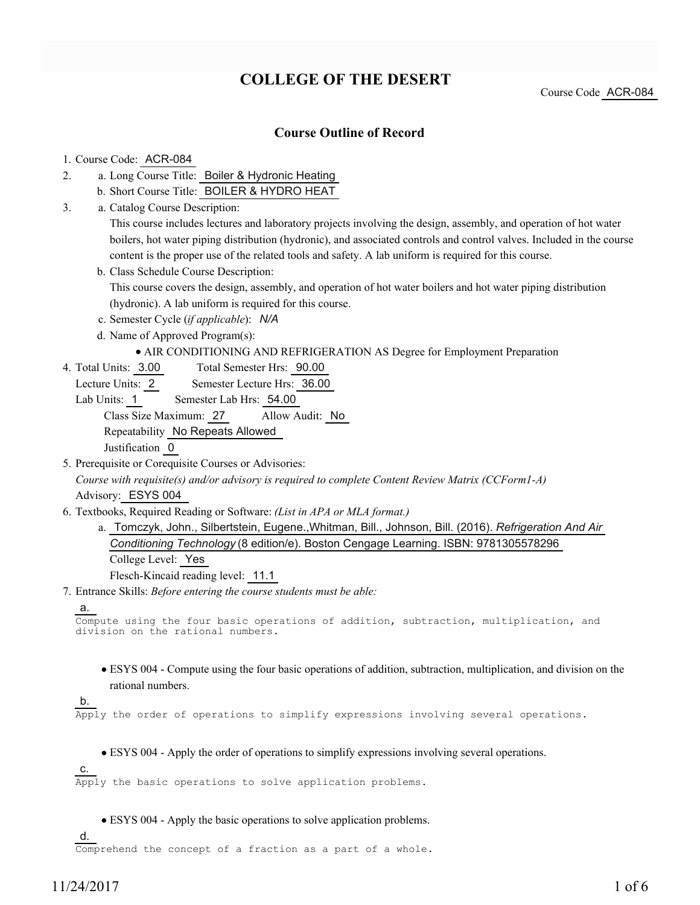# **COLLEGE OF THE DESERT**

Course Code ACR-084

### **Course Outline of Record**

#### 1. Course Code: ACR-084

- a. Long Course Title: Boiler & Hydronic Heating 2.
	- b. Short Course Title: BOILER & HYDRO HEAT
- Catalog Course Description: a. 3.

This course includes lectures and laboratory projects involving the design, assembly, and operation of hot water boilers, hot water piping distribution (hydronic), and associated controls and control valves. Included in the course content is the proper use of the related tools and safety. A lab uniform is required for this course.

- b. Class Schedule Course Description: This course covers the design, assembly, and operation of hot water boilers and hot water piping distribution (hydronic). A lab uniform is required for this course.
- c. Semester Cycle (*if applicable*): *N/A*
- d. Name of Approved Program(s):

#### AIR CONDITIONING AND REFRIGERATION AS Degree for Employment Preparation

- Total Semester Hrs: 90.00 4. Total Units: 3.00
	- Lecture Units: 2 Semester Lecture Hrs: 36.00
	- Lab Units: 1 Semester Lab Hrs: 54.00

Class Size Maximum: 27 Allow Audit: No

Repeatability No Repeats Allowed

Justification 0

5. Prerequisite or Corequisite Courses or Advisories:

*Course with requisite(s) and/or advisory is required to complete Content Review Matrix (CCForm1-A)* Advisory: ESYS 004

- Textbooks, Required Reading or Software: *(List in APA or MLA format.)* 6.
	- a. Tomczyk, John., Silbertstein, Eugene.,Whitman, Bill., Johnson, Bill. (2016). *Refrigeration And Air Conditioning Technology* (8 edition/e). Boston Cengage Learning. ISBN: 9781305578296 College Level: Yes Flesch-Kincaid reading level: 11.1
- Entrance Skills: *Before entering the course students must be able:* 7.

```
a.
```

```
Compute using the four basic operations of addition, subtraction, multiplication, and
division on the rational numbers.
```
ESYS 004 - Compute using the four basic operations of addition, subtraction, multiplication, and division on the rational numbers.

#### b.

Apply the order of operations to simplify expressions involving several operations.

ESYS 004 - Apply the order of operations to simplify expressions involving several operations.

```
c. 
Apply the basic operations to solve application problems.
```
ESYS 004 - Apply the basic operations to solve application problems.

d.

Comprehend the concept of a fraction as a part of a whole.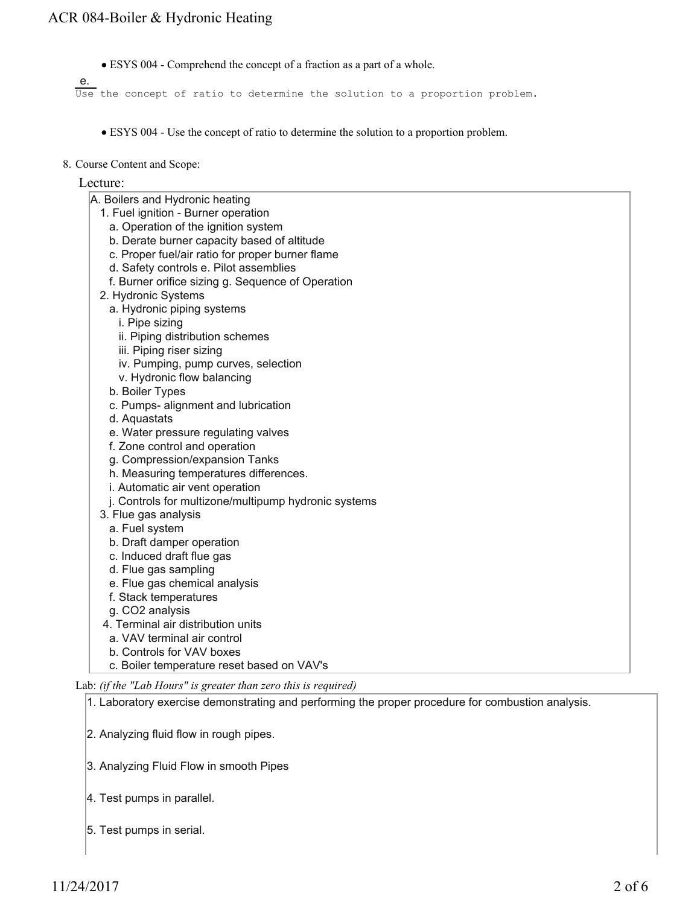ESYS 004 - Comprehend the concept of a fraction as a part of a whole.

e. Use the concept of ratio to determine the solution to a proportion problem.

- ESYS 004 Use the concept of ratio to determine the solution to a proportion problem.
- 8. Course Content and Scope:

### Lecture:

- A. Boilers and Hydronic heating
	- 1. Fuel ignition Burner operation
		- a. Operation of the ignition system
		- b. Derate burner capacity based of altitude
		- c. Proper fuel/air ratio for proper burner flame
		- d. Safety controls e. Pilot assemblies
		- f. Burner orifice sizing g. Sequence of Operation
	- 2. Hydronic Systems
		- a. Hydronic piping systems
			- i. Pipe sizing
			- ii. Piping distribution schemes
			- iii. Piping riser sizing
			- iv. Pumping, pump curves, selection
		- v. Hydronic flow balancing
		- b. Boiler Types
		- c. Pumps- alignment and lubrication
		- d. Aquastats
		- e. Water pressure regulating valves
		- f. Zone control and operation
		- g. Compression/expansion Tanks
		- h. Measuring temperatures differences.
	- i. Automatic air vent operation
	- j. Controls for multizone/multipump hydronic systems
	- 3. Flue gas analysis
		- a. Fuel system
		- b. Draft damper operation
		- c. Induced draft flue gas
		- d. Flue gas sampling
		- e. Flue gas chemical analysis
	- f. Stack temperatures
	- g. CO2 analysis
	- 4. Terminal air distribution units
	- a. VAV terminal air control
	- b. Controls for VAV boxes
	- c. Boiler temperature reset based on VAV's

Lab: *(if the "Lab Hours" is greater than zero this is required)*

- 1. Laboratory exercise demonstrating and performing the proper procedure for combustion analysis.
- 2. Analyzing fluid flow in rough pipes.
- 3. Analyzing Fluid Flow in smooth Pipes
- 4. Test pumps in parallel.
- 5. Test pumps in serial.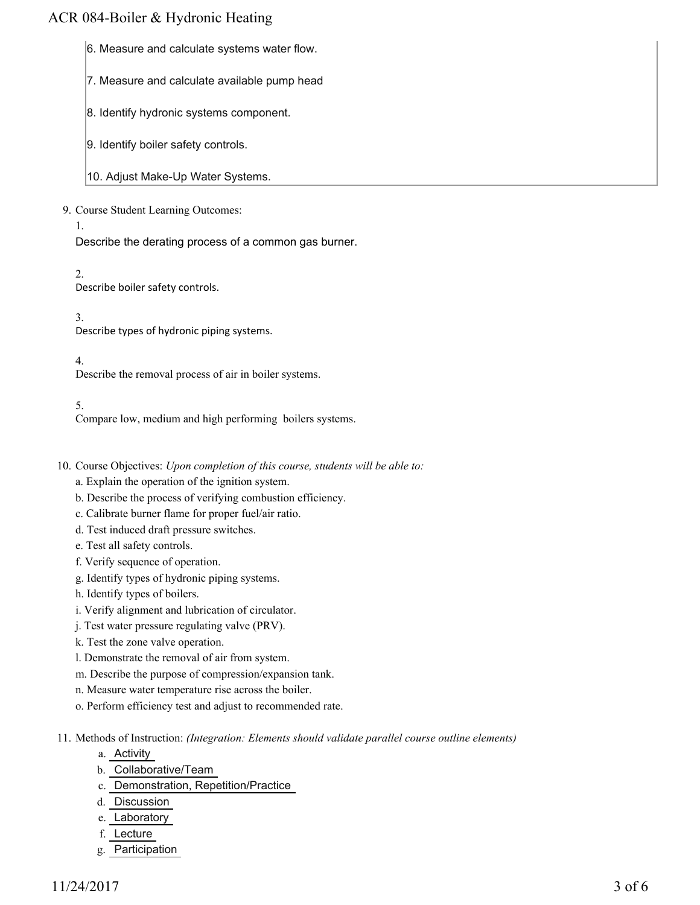## ACR 084-Boiler & Hydronic Heating

- 6. Measure and calculate systems water flow.
- 7. Measure and calculate available pump head
- 8. Identify hydronic systems component.
- 9. Identify boiler safety controls.
- 10. Adjust Make-Up Water Systems.

### 9. Course Student Learning Outcomes:

1.

Describe the derating process of a common gas burner.

2.

Describe boiler safety controls.

3. Describe types of hydronic piping systems.

4.

Describe the removal process of air in boiler systems.

### 5.

Compare low, medium and high performing boilers systems.

- 10. Course Objectives: Upon completion of this course, students will be able to:
	- a. Explain the operation of the ignition system.
	- b. Describe the process of verifying combustion efficiency.
	- c. Calibrate burner flame for proper fuel/air ratio.
	- d. Test induced draft pressure switches.
	- e. Test all safety controls.
	- f. Verify sequence of operation.
	- g. Identify types of hydronic piping systems.
	- h. Identify types of boilers.
	- i. Verify alignment and lubrication of circulator.
	- j. Test water pressure regulating valve (PRV).
	- k. Test the zone valve operation.
	- l. Demonstrate the removal of air from system.
	- m. Describe the purpose of compression/expansion tank.
	- n. Measure water temperature rise across the boiler.
	- o. Perform efficiency test and adjust to recommended rate.
- 11. Methods of Instruction: *(Integration: Elements should validate parallel course outline elements)* 
	- a. Activity
	- b. Collaborative/Team
	- c. Demonstration, Repetition/Practice
	- d. Discussion
	- e. Laboratory
	- f. Lecture
	- g. Participation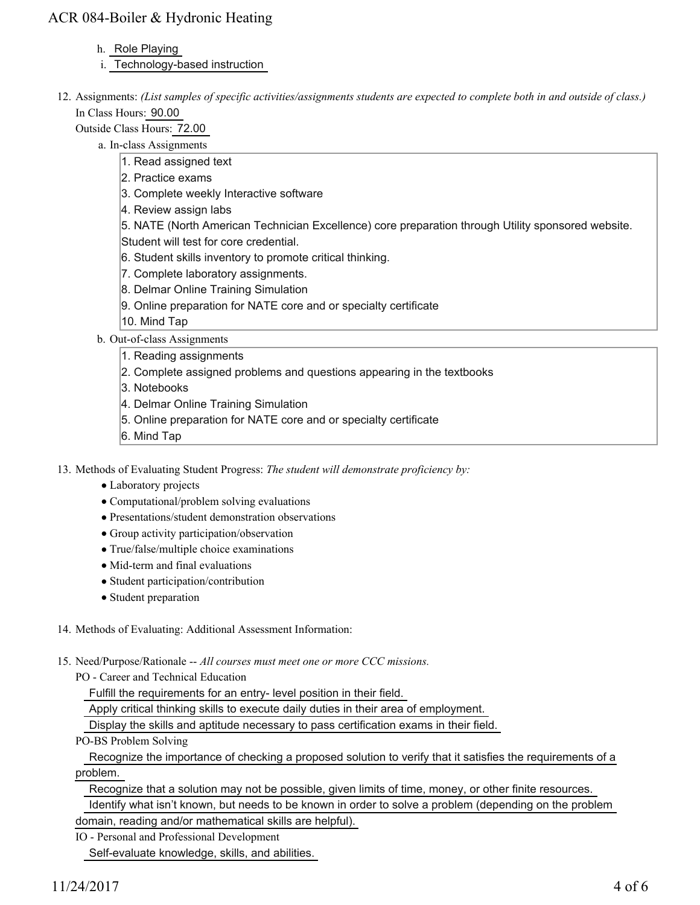# ACR 084-Boiler & Hydronic Heating

### h. Role Playing

- i. Technology-based instruction
- 12. Assignments: (List samples of specific activities/assignments students are expected to complete both in and outside of class.) In Class Hours: 90.00

Outside Class Hours: 72.00

- a. In-class Assignments
	- 1. Read assigned text
	- 2. Practice exams
	- 3. Complete weekly Interactive software
	- 4. Review assign labs
	- 5. NATE (North American Technician Excellence) core preparation through Utility sponsored website.
	- Student will test for core credential.
	- 6. Student skills inventory to promote critical thinking.
	- 7. Complete laboratory assignments.
	- 8. Delmar Online Training Simulation
	- 9. Online preparation for NATE core and or specialty certificate
	- 10. Mind Tap
- b. Out-of-class Assignments
	- 1. Reading assignments
	- 2. Complete assigned problems and questions appearing in the textbooks
	- 3. Notebooks
	- 4. Delmar Online Training Simulation
	- 5. Online preparation for NATE core and or specialty certificate
	- 6. Mind Tap

13. Methods of Evaluating Student Progress: The student will demonstrate proficiency by:

- Laboratory projects
- Computational/problem solving evaluations
- Presentations/student demonstration observations
- Group activity participation/observation
- True/false/multiple choice examinations
- Mid-term and final evaluations
- Student participation/contribution
- Student preparation
- 14. Methods of Evaluating: Additional Assessment Information:
- 15. Need/Purpose/Rationale -- All courses must meet one or more CCC missions.
	- PO Career and Technical Education

Fulfill the requirements for an entry- level position in their field.

Apply critical thinking skills to execute daily duties in their area of employment.

Display the skills and aptitude necessary to pass certification exams in their field.

PO-BS Problem Solving

 Recognize the importance of checking a proposed solution to verify that it satisfies the requirements of a problem.

Recognize that a solution may not be possible, given limits of time, money, or other finite resources.

 Identify what isn't known, but needs to be known in order to solve a problem (depending on the problem domain, reading and/or mathematical skills are helpful).

IO - Personal and Professional Development Self-evaluate knowledge, skills, and abilities.